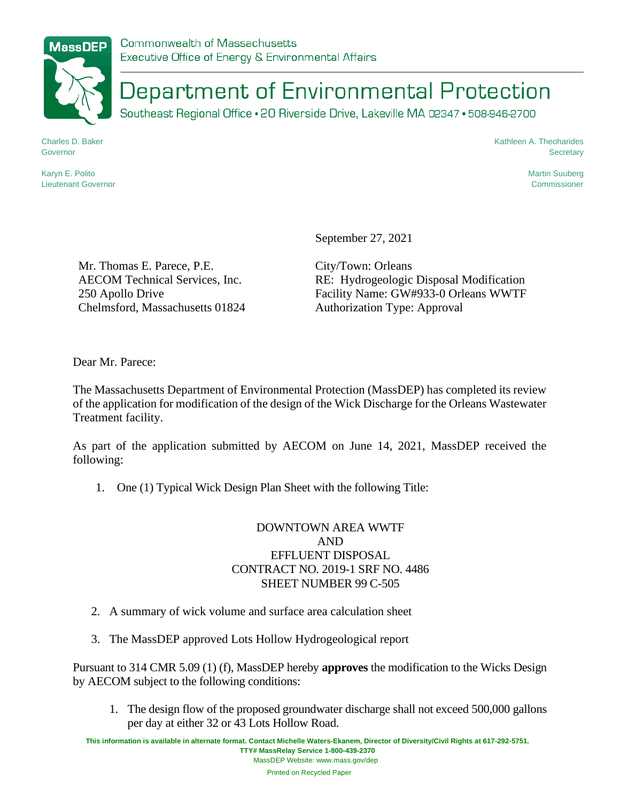

Department of Environmental Protection

Southeast Regional Office . 20 Riverside Drive, Lakeville MA 02347 . 508-946-2700

Charles D. Baker Governor

Karyn E. Polito Lieutenant Governor Kathleen A. Theoharides **Secretary** 

> Martin Suuberg Commissioner

September 27, 2021

Mr. Thomas E. Parece, P.E. AECOM Technical Services, Inc. 250 Apollo Drive Chelmsford, Massachusetts 01824 City/Town: Orleans RE: Hydrogeologic Disposal Modification Facility Name: GW#933-0 Orleans WWTF Authorization Type: Approval

Dear Mr. Parece:

The Massachusetts Department of Environmental Protection (MassDEP) has completed its review of the application for modification of the design of the Wick Discharge for the Orleans Wastewater Treatment facility.

As part of the application submitted by AECOM on June 14, 2021, MassDEP received the following:

1. One (1) Typical Wick Design Plan Sheet with the following Title:

## DOWNTOWN AREA WWTF AND EFFLUENT DISPOSAL CONTRACT NO. 2019-1 SRF NO. 4486 SHEET NUMBER 99 C-505

- 2. A summary of wick volume and surface area calculation sheet
- 3. The MassDEP approved Lots Hollow Hydrogeological report

Pursuant to 314 CMR 5.09 (1) (f), MassDEP hereby **approves** the modification to the Wicks Design by AECOM subject to the following conditions:

1. The design flow of the proposed groundwater discharge shall not exceed 500,000 gallons per day at either 32 or 43 Lots Hollow Road.

**This information is available in alternate format. Contact Michelle Waters-Ekanem, Director of Diversity/Civil Rights at 617-292-5751. TTY# MassRelay Service 1-800-439-2370** MassDEP Website: www.mass.gov/dep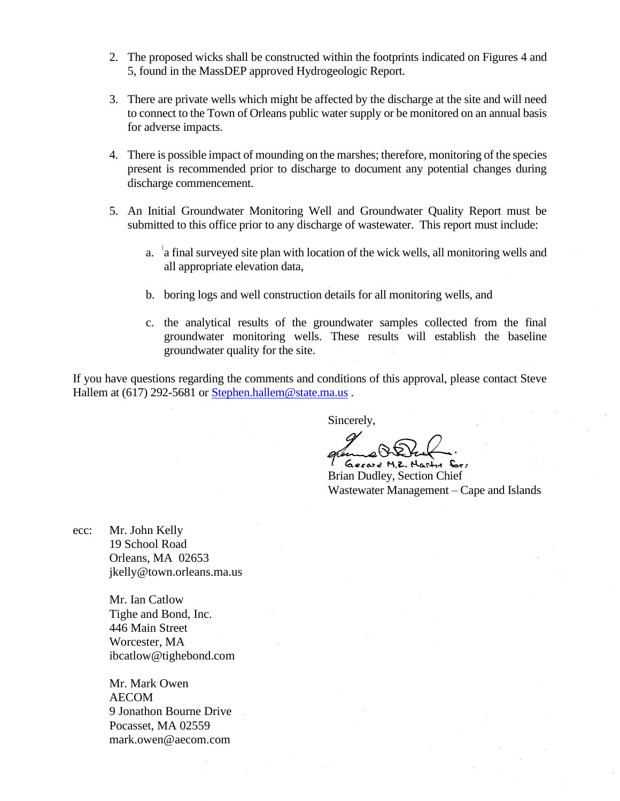- 2. The proposed wicks shall be constructed within the footprints indicated on Figures 4 and 5, found in the MassDEP approved Hydrogeologic Report.
- 3. There are private wells which might be affected by the discharge at the site and will need to connect to the Town of Orleans public water supply or be monitored on an annual basis for adverse impacts.
- 4. There is possible impact of mounding on the marshes; therefore, monitoring of the species present is recommended prior to discharge to document any potential changes during discharge commencement.
- 5. An Initial Groundwater Monitoring Well and Groundwater Quality Report must be submitted to this office prior to any discharge of wastewater. This report must include:
	- a. a final surveyed site plan with location of the wick wells, all monitoring wells and all appropriate elevation data,
	- b. boring logs and well construction details for all monitoring wells, and
	- c. the analytical results of the groundwater samples collected from the final groundwater monitoring wells. These results will establish the baseline groundwater quality for the site.

If you have questions regarding the comments and conditions of this approval, please contact Steve Hallem at (617) 292-5681 or [Stephen.hallem@state.ma.us](mailto:Stephen.hallem@state.ma.us).

Sincerely,

Gecard M.Z. Martin for:

Brian Dudley, Section Chief Wastewater Management – Cape and Islands

ecc: Mr. John Kelly 19 School Road Orleans, MA 02653 jkelly@town.orleans.ma.us

> Mr. Ian Catlow Tighe and Bond, Inc. 446 Main Street Worcester, MA ibcatlow@tighebond.com

Mr. Mark Owen AECOM 9 Jonathon Bourne Drive Pocasset, MA 02559 mark.owen@aecom.com